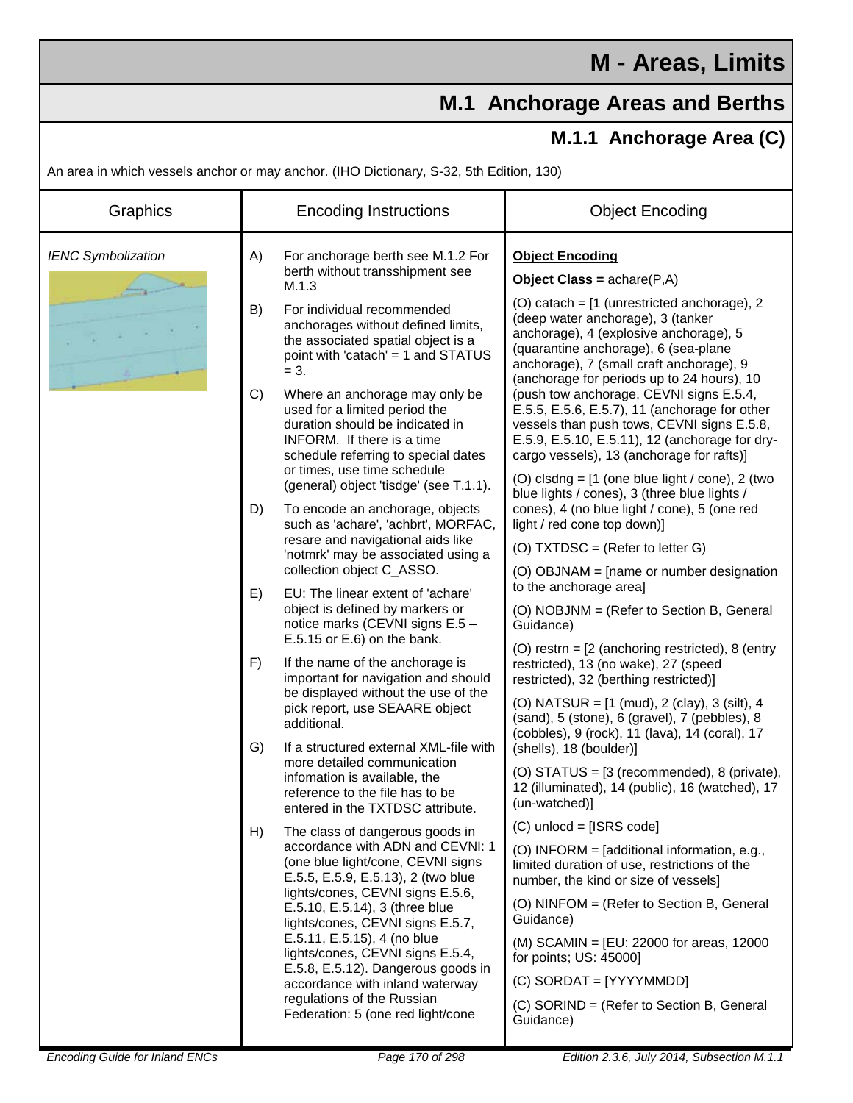## **M.1 Anchorage Areas and Berths**

## **M.1.1 Anchorage Area (C)**

An area in which vessels anchor or may anchor. (IHO Dictionary, S-32, 5th Edition, 130)

| Graphics                  | <b>Encoding Instructions</b> |                                                                                                                                                                                                                                                                                                                                                                                                                                                                                                                                                                              | <b>Object Encoding</b>                                                                                                                                                                                                                                       |
|---------------------------|------------------------------|------------------------------------------------------------------------------------------------------------------------------------------------------------------------------------------------------------------------------------------------------------------------------------------------------------------------------------------------------------------------------------------------------------------------------------------------------------------------------------------------------------------------------------------------------------------------------|--------------------------------------------------------------------------------------------------------------------------------------------------------------------------------------------------------------------------------------------------------------|
| <b>IENC Symbolization</b> | A)                           | For anchorage berth see M.1.2 For<br>berth without transshipment see<br>M.1.3                                                                                                                                                                                                                                                                                                                                                                                                                                                                                                | <b>Object Encoding</b><br><b>Object Class = <math>achare(P,A)</math></b>                                                                                                                                                                                     |
|                           | B)                           | For individual recommended<br>anchorages without defined limits,<br>the associated spatial object is a<br>point with 'catach' = 1 and STATUS<br>$= 3.$                                                                                                                                                                                                                                                                                                                                                                                                                       | (O) catach = [1 (unrestricted anchorage), 2<br>(deep water anchorage), 3 (tanker<br>anchorage), 4 (explosive anchorage), 5<br>(quarantine anchorage), 6 (sea-plane<br>anchorage), 7 (small craft anchorage), 9<br>(anchorage for periods up to 24 hours), 10 |
|                           | C)                           | Where an anchorage may only be<br>used for a limited period the<br>duration should be indicated in<br>INFORM. If there is a time<br>schedule referring to special dates<br>or times, use time schedule<br>(general) object 'tisdge' (see T.1.1).<br>To encode an anchorage, objects<br>such as 'achare', 'achbrt', MORFAC,<br>resare and navigational aids like<br>'notmrk' may be associated using a<br>collection object C_ASSO.<br>EU: The linear extent of 'achare'<br>object is defined by markers or<br>notice marks (CEVNI signs E.5 -<br>E.5.15 or E.6) on the bank. | (push tow anchorage, CEVNI signs E.5.4,<br>E.5.5, E.5.6, E.5.7), 11 (anchorage for other<br>vessels than push tows, CEVNI signs E.5.8,<br>E.5.9, E.5.10, E.5.11), 12 (anchorage for dry-<br>cargo vessels), 13 (anchorage for rafts)]                        |
|                           | D)                           |                                                                                                                                                                                                                                                                                                                                                                                                                                                                                                                                                                              | (O) clsdng = $[1$ (one blue light / cone), 2 (two<br>blue lights / cones), 3 (three blue lights /<br>cones), 4 (no blue light / cone), 5 (one red<br>light / red cone top down)]                                                                             |
|                           |                              |                                                                                                                                                                                                                                                                                                                                                                                                                                                                                                                                                                              | (O) $TXT DSC = (Refer to letter G)$                                                                                                                                                                                                                          |
|                           |                              |                                                                                                                                                                                                                                                                                                                                                                                                                                                                                                                                                                              | (O) OBJNAM = [name or number designation                                                                                                                                                                                                                     |
|                           | E)                           |                                                                                                                                                                                                                                                                                                                                                                                                                                                                                                                                                                              | to the anchorage area]<br>(O) NOBJNM = (Refer to Section B, General<br>Guidance)                                                                                                                                                                             |
|                           | F)                           | If the name of the anchorage is<br>important for navigation and should<br>be displayed without the use of the<br>pick report, use SEAARE object<br>additional.                                                                                                                                                                                                                                                                                                                                                                                                               | (O) restrn = $[2$ (anchoring restricted), 8 (entry<br>restricted), 13 (no wake), 27 (speed<br>restricted), 32 (berthing restricted)]                                                                                                                         |
|                           |                              |                                                                                                                                                                                                                                                                                                                                                                                                                                                                                                                                                                              | (O) NATSUR = $[1 \text{ (mud)}, 2 \text{ (clay)}, 3 \text{ (silt)}, 4 \text{)}$<br>(sand), 5 (stone), 6 (gravel), 7 (pebbles), 8<br>(cobbles), 9 (rock), 11 (lava), 14 (coral), 17                                                                           |
|                           | G)                           | If a structured external XML-file with<br>more detailed communication<br>infomation is available, the<br>reference to the file has to be<br>entered in the TXTDSC attribute.                                                                                                                                                                                                                                                                                                                                                                                                 | (shells), 18 (boulder)]                                                                                                                                                                                                                                      |
|                           |                              |                                                                                                                                                                                                                                                                                                                                                                                                                                                                                                                                                                              | (O) STATUS = [3 (recommended), 8 (private),<br>12 (illuminated), 14 (public), 16 (watched), 17<br>(un-watched)]                                                                                                                                              |
|                           | H)                           | The class of dangerous goods in<br>accordance with ADN and CEVNI: 1<br>(one blue light/cone, CEVNI signs<br>E.5.5, E.5.9, E.5.13), 2 (two blue<br>lights/cones, CEVNI signs E.5.6,<br>E.5.10, E.5.14), 3 (three blue<br>lights/cones, CEVNI signs E.5.7,<br>E.5.11, E.5.15), 4 (no blue<br>lights/cones, CEVNI signs E.5.4,<br>E.5.8, E.5.12). Dangerous goods in<br>accordance with inland waterway<br>regulations of the Russian<br>Federation: 5 (one red light/cone                                                                                                      | $(C)$ unlocd = [ISRS code]                                                                                                                                                                                                                                   |
|                           |                              |                                                                                                                                                                                                                                                                                                                                                                                                                                                                                                                                                                              | (O) INFORM = [additional information, e.g.,<br>limited duration of use, restrictions of the<br>number, the kind or size of vessels]                                                                                                                          |
|                           |                              |                                                                                                                                                                                                                                                                                                                                                                                                                                                                                                                                                                              | (O) NINFOM = (Refer to Section B, General<br>Guidance)                                                                                                                                                                                                       |
|                           |                              |                                                                                                                                                                                                                                                                                                                                                                                                                                                                                                                                                                              | (M) SCAMIN = [EU: 22000 for areas, 12000<br>for points; US: 45000]                                                                                                                                                                                           |
|                           |                              |                                                                                                                                                                                                                                                                                                                                                                                                                                                                                                                                                                              | $(C)$ SORDAT = [YYYYMMDD]                                                                                                                                                                                                                                    |
|                           |                              |                                                                                                                                                                                                                                                                                                                                                                                                                                                                                                                                                                              | (C) SORIND = (Refer to Section B, General<br>Guidance)                                                                                                                                                                                                       |